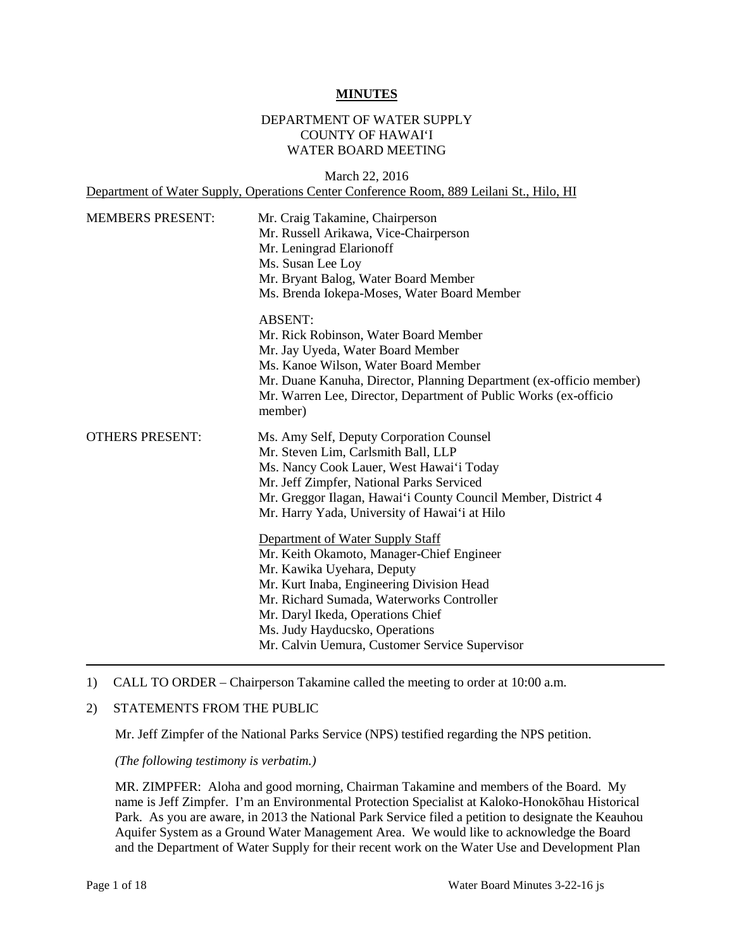#### **MINUTES**

## DEPARTMENT OF WATER SUPPLY COUNTY OF HAWAI'I WATER BOARD MEETING

March 22, 2016 Department of Water Supply, Operations Center Conference Room, 889 Leilani St., Hilo, HI

| <b>MEMBERS PRESENT:</b> | Mr. Craig Takamine, Chairperson<br>Mr. Russell Arikawa, Vice-Chairperson<br>Mr. Leningrad Elarionoff<br>Ms. Susan Lee Loy<br>Mr. Bryant Balog, Water Board Member<br>Ms. Brenda Iokepa-Moses, Water Board Member                                                                                                               |
|-------------------------|--------------------------------------------------------------------------------------------------------------------------------------------------------------------------------------------------------------------------------------------------------------------------------------------------------------------------------|
|                         | <b>ABSENT:</b><br>Mr. Rick Robinson, Water Board Member<br>Mr. Jay Uyeda, Water Board Member<br>Ms. Kanoe Wilson, Water Board Member<br>Mr. Duane Kanuha, Director, Planning Department (ex-officio member)<br>Mr. Warren Lee, Director, Department of Public Works (ex-officio<br>member)                                     |
| <b>OTHERS PRESENT:</b>  | Ms. Amy Self, Deputy Corporation Counsel<br>Mr. Steven Lim, Carlsmith Ball, LLP<br>Ms. Nancy Cook Lauer, West Hawai'i Today<br>Mr. Jeff Zimpfer, National Parks Serviced<br>Mr. Greggor Ilagan, Hawai'i County Council Member, District 4<br>Mr. Harry Yada, University of Hawai'i at Hilo                                     |
|                         | Department of Water Supply Staff<br>Mr. Keith Okamoto, Manager-Chief Engineer<br>Mr. Kawika Uyehara, Deputy<br>Mr. Kurt Inaba, Engineering Division Head<br>Mr. Richard Sumada, Waterworks Controller<br>Mr. Daryl Ikeda, Operations Chief<br>Ms. Judy Hayducsko, Operations<br>Mr. Calvin Uemura, Customer Service Supervisor |

#### 1) CALL TO ORDER – Chairperson Takamine called the meeting to order at 10:00 a.m.

## 2) STATEMENTS FROM THE PUBLIC

Mr. Jeff Zimpfer of the National Parks Service (NPS) testified regarding the NPS petition.

 *(The following testimony is verbatim.)* 

 MR. ZIMPFER: Aloha and good morning, Chairman Takamine and members of the Board. My and the Department of Water Supply for their recent work on the Water Use and Development Plan name is Jeff Zimpfer. I'm an Environmental Protection Specialist at Kaloko-Honokōhau Historical Park. As you are aware, in 2013 the National Park Service filed a petition to designate the Keauhou Aquifer System as a Ground Water Management Area. We would like to acknowledge the Board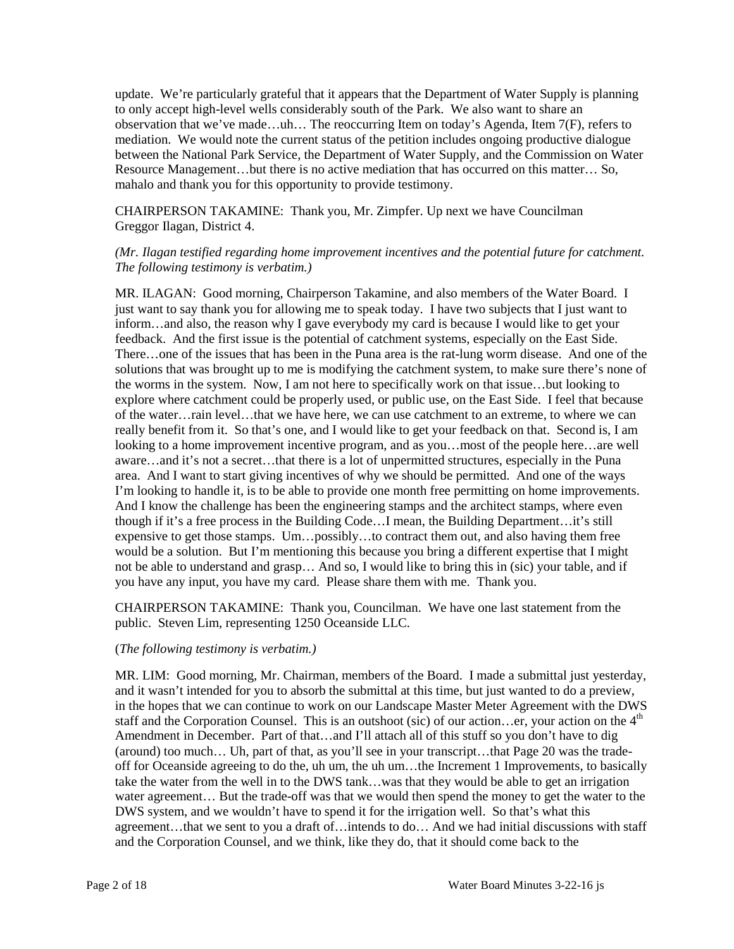update. We're particularly grateful that it appears that the Department of Water Supply is planning between the National Park Service, the Department of Water Supply, and the Commission on Water mahalo and thank you for this opportunity to provide testimony. to only accept high-level wells considerably south of the Park. We also want to share an observation that we've made…uh… The reoccurring Item on today's Agenda, Item 7(F), refers to mediation. We would note the current status of the petition includes ongoing productive dialogue Resource Management…but there is no active mediation that has occurred on this matter… So,

CHAIRPERSON TAKAMINE: Thank you, Mr. Zimpfer. Up next we have Councilman Greggor Ilagan, District 4.

## *(Mr. Ilagan testified regarding home improvement incentives and the potential future for catchment. The following testimony is verbatim.)*

 MR. ILAGAN: Good morning, Chairperson Takamine, and also members of the Water Board. I just want to say thank you for allowing me to speak today. I have two subjects that I just want to inform…and also, the reason why I gave everybody my card is because I would like to get your feedback. And the first issue is the potential of catchment systems, especially on the East Side. feedback. And the first issue is the potential of catchment systems, especially on the East Side.<br>There…one of the issues that has been in the Puna area is the rat-lung worm disease. And one of the of the water…rain level…that we have here, we can use catchment to an extreme, to where we can looking to a home improvement incentive program, and as you…most of the people here…are well aware…and it's not a secret…that there is a lot of unpermitted structures, especially in the Puna area. And I want to start giving incentives of why we should be permitted. And one of the ways I'm looking to handle it, is to be able to provide one month free permitting on home improvements. though if it's a free process in the Building Code…I mean, the Building Department…it's still would be a solution. But I'm mentioning this because you bring a different expertise that I might solutions that was brought up to me is modifying the catchment system, to make sure there's none of the worms in the system. Now, I am not here to specifically work on that issue…but looking to explore where catchment could be properly used, or public use, on the East Side. I feel that because really benefit from it. So that's one, and I would like to get your feedback on that. Second is, I am And I know the challenge has been the engineering stamps and the architect stamps, where even expensive to get those stamps. Um…possibly…to contract them out, and also having them free not be able to understand and grasp… And so, I would like to bring this in (sic) your table, and if you have any input, you have my card. Please share them with me. Thank you.

 CHAIRPERSON TAKAMINE: Thank you, Councilman. We have one last statement from the public. Steven Lim, representing 1250 Oceanside LLC.

## (*The following testimony is verbatim.)*

 MR. LIM: Good morning, Mr. Chairman, members of the Board. I made a submittal just yesterday, and it wasn't intended for you to absorb the submittal at this time, but just wanted to do a preview, Amendment in December. Part of that…and I'll attach all of this stuff so you don't have to dig (around) too much… Uh, part of that, as you'll see in your transcript…that Page 20 was the trade- water agreement… But the trade-off was that we would then spend the money to get the water to the DWS system, and we wouldn't have to spend it for the irrigation well. So that's what this in the hopes that we can continue to work on our Landscape Master Meter Agreement with the DWS staff and the Corporation Counsel. This is an outshoot (sic) of our action...er, your action on the  $4<sup>th</sup>$ off for Oceanside agreeing to do the, uh um, the uh um…the Increment 1 Improvements, to basically take the water from the well in to the DWS tank…was that they would be able to get an irrigation agreement…that we sent to you a draft of…intends to do… And we had initial discussions with staff and the Corporation Counsel, and we think, like they do, that it should come back to the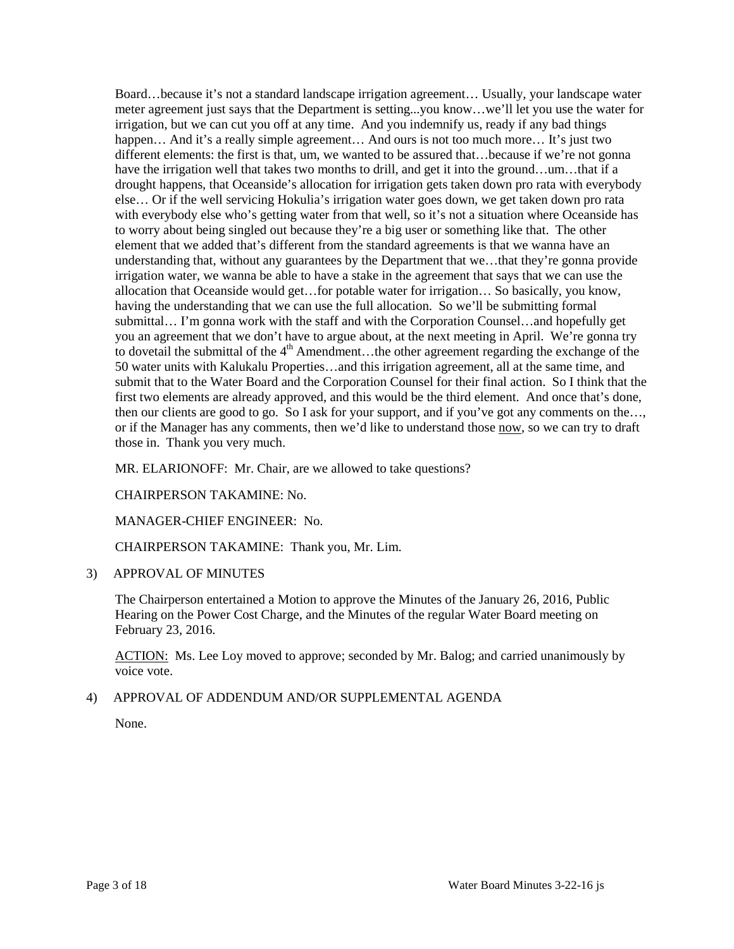meter agreement just says that the Department is setting...you know…we'll let you use the water for happen... And it's a really simple agreement... And ours is not too much more... It's just two different elements: the first is that, um, we wanted to be assured that…because if we're not gonna else… Or if the well servicing Hokulia's irrigation water goes down, we get taken down pro rata to worry about being singled out because they're a big user or something like that. The other irrigation water, we wanna be able to have a stake in the agreement that says that we can use the submit that to the Water Board and the Corporation Counsel for their final action. So I think that the first two elements are already approved, and this would be the third element. And once that's done, those in. Thank you very much. Board…because it's not a standard landscape irrigation agreement… Usually, your landscape water irrigation, but we can cut you off at any time. And you indemnify us, ready if any bad things have the irrigation well that takes two months to drill, and get it into the ground…um…that if a drought happens, that Oceanside's allocation for irrigation gets taken down pro rata with everybody with everybody else who's getting water from that well, so it's not a situation where Oceanside has element that we added that's different from the standard agreements is that we wanna have an understanding that, without any guarantees by the Department that we…that they're gonna provide allocation that Oceanside would get…for potable water for irrigation… So basically, you know, having the understanding that we can use the full allocation. So we'll be submitting formal submittal… I'm gonna work with the staff and with the Corporation Counsel…and hopefully get you an agreement that we don't have to argue about, at the next meeting in April. We're gonna try to dovetail the submittal of the  $4<sup>th</sup>$  Amendment...the other agreement regarding the exchange of the 50 water units with Kalukalu Properties…and this irrigation agreement, all at the same time, and then our clients are good to go. So I ask for your support, and if you've got any comments on the…, or if the Manager has any comments, then we'd like to understand those now, so we can try to draft

MR. ELARIONOFF: Mr. Chair, are we allowed to take questions?

## CHAIRPERSON TAKAMINE: No.

## MANAGER-CHIEF ENGINEER: No.

CHAIRPERSON TAKAMINE: Thank you, Mr. Lim.

3) APPROVAL OF MINUTES

 The Chairperson entertained a Motion to approve the Minutes of the January 26, 2016, Public Hearing on the Power Cost Charge, and the Minutes of the regular Water Board meeting on February 23, 2016.

ACTION: Ms. Lee Loy moved to approve; seconded by Mr. Balog; and carried unanimously by voice vote.

#### 4) APPROVAL OF ADDENDUM AND/OR SUPPLEMENTAL AGENDA

None.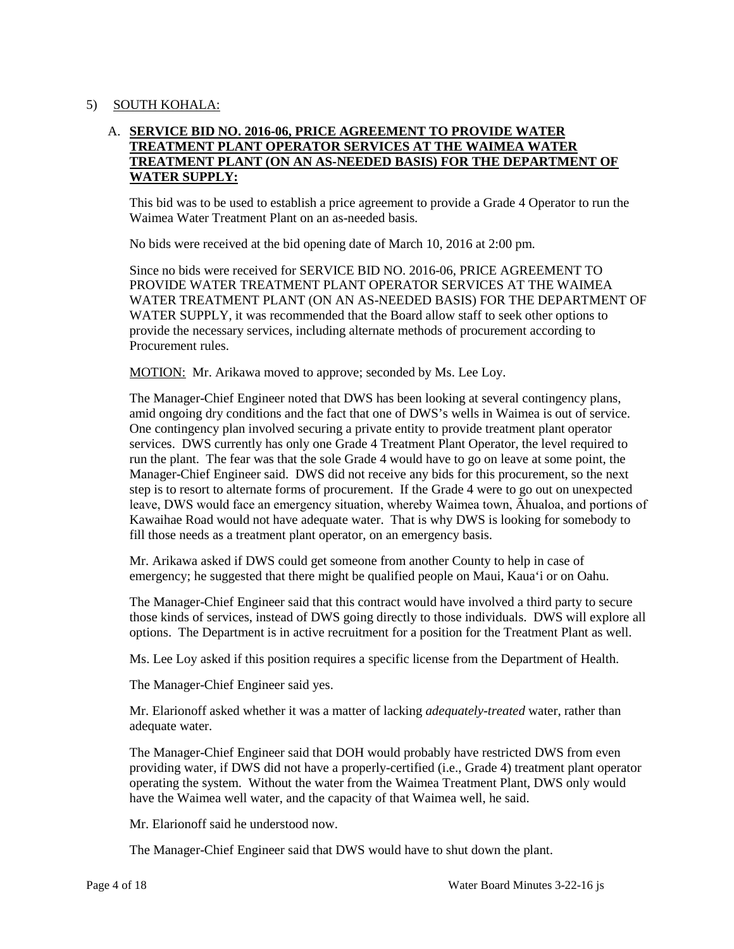## 5) SOUTH KOHALA:

# A. **SERVICE BID NO. 2016-06, PRICE AGREEMENT TO PROVIDE WATER TREATMENT PLANT OPERATOR SERVICES AT THE WAIMEA WATER TREATMENT PLANT (ON AN AS-NEEDED BASIS) FOR THE DEPARTMENT OF WATER SUPPLY:**

 This bid was to be used to establish a price agreement to provide a Grade 4 Operator to run the Waimea Water Treatment Plant on an as-needed basis.

No bids were received at the bid opening date of March 10, 2016 at 2:00 pm.

 Since no bids were received for SERVICE BID NO. 2016-06, PRICE AGREEMENT TO WATER SUPPLY, it was recommended that the Board allow staff to seek other options to PROVIDE WATER TREATMENT PLANT OPERATOR SERVICES AT THE WAIMEA WATER TREATMENT PLANT (ON AN AS-NEEDED BASIS) FOR THE DEPARTMENT OF provide the necessary services, including alternate methods of procurement according to Procurement rules.

MOTION: Mr. Arikawa moved to approve; seconded by Ms. Lee Loy.

 amid ongoing dry conditions and the fact that one of DWS's wells in Waimea is out of service. step is to resort to alternate forms of procurement. If the Grade 4 were to go out on unexpected leave, DWS would face an emergency situation, whereby Waimea town, Āhualoa, and portions of Kawaihae Road would not have adequate water. That is why DWS is looking for somebody to The Manager-Chief Engineer noted that DWS has been looking at several contingency plans, One contingency plan involved securing a private entity to provide treatment plant operator services. DWS currently has only one Grade 4 Treatment Plant Operator, the level required to run the plant. The fear was that the sole Grade 4 would have to go on leave at some point, the Manager-Chief Engineer said. DWS did not receive any bids for this procurement, so the next fill those needs as a treatment plant operator, on an emergency basis.

 emergency; he suggested that there might be qualified people on Maui, Kaua'i or on Oahu. Mr. Arikawa asked if DWS could get someone from another County to help in case of

The Manager-Chief Engineer said that this contract would have involved a third party to secure those kinds of services, instead of DWS going directly to those individuals. DWS will explore all options. The Department is in active recruitment for a position for the Treatment Plant as well.

Ms. Lee Loy asked if this position requires a specific license from the Department of Health.

The Manager-Chief Engineer said yes.

Mr. Elarionoff asked whether it was a matter of lacking *adequately-treated* water, rather than adequate water.

The Manager-Chief Engineer said that DOH would probably have restricted DWS from even providing water, if DWS did not have a properly-certified (i.e., Grade 4) treatment plant operator operating the system. Without the water from the Waimea Treatment Plant, DWS only would have the Waimea well water, and the capacity of that Waimea well, he said.

Mr. Elarionoff said he understood now.

The Manager-Chief Engineer said that DWS would have to shut down the plant.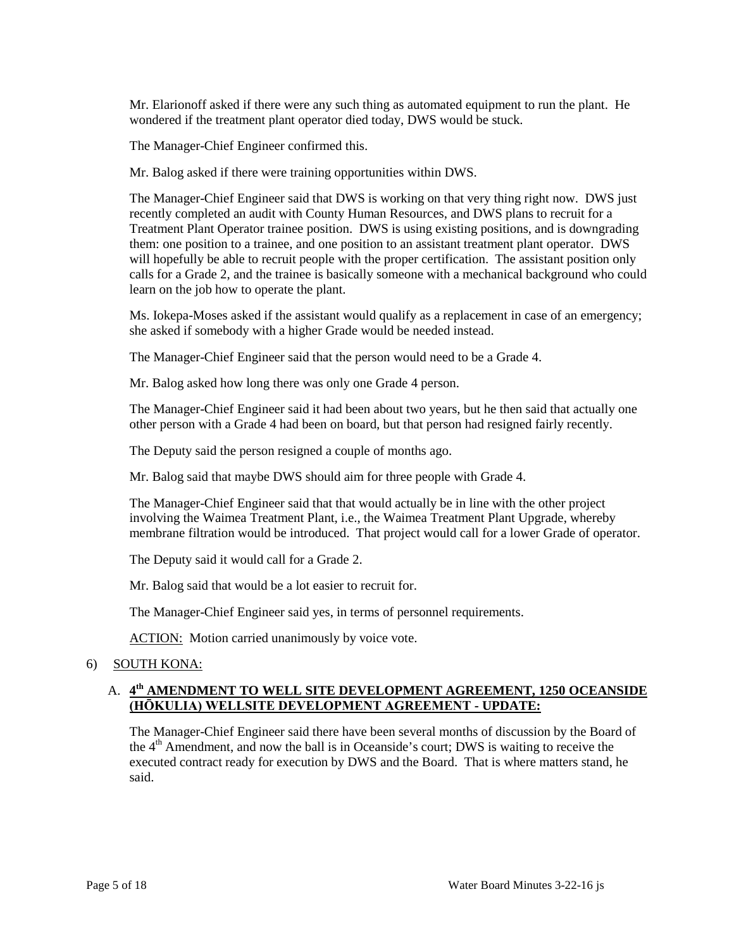Mr. Elarionoff asked if there were any such thing as automated equipment to run the plant. He wondered if the treatment plant operator died today, DWS would be stuck.

The Manager-Chief Engineer confirmed this.

Mr. Balog asked if there were training opportunities within DWS.

 The Manager-Chief Engineer said that DWS is working on that very thing right now. DWS just recently completed an audit with County Human Resources, and DWS plans to recruit for a Treatment Plant Operator trainee position. DWS is using existing positions, and is downgrading them: one position to a trainee, and one position to an assistant treatment plant operator. DWS will hopefully be able to recruit people with the proper certification. The assistant position only calls for a Grade 2, and the trainee is basically someone with a mechanical background who could learn on the job how to operate the plant.

 Ms. Iokepa-Moses asked if the assistant would qualify as a replacement in case of an emergency; she asked if somebody with a higher Grade would be needed instead.

The Manager-Chief Engineer said that the person would need to be a Grade 4.

Mr. Balog asked how long there was only one Grade 4 person.

The Manager-Chief Engineer said it had been about two years, but he then said that actually one other person with a Grade 4 had been on board, but that person had resigned fairly recently.

The Deputy said the person resigned a couple of months ago.

Mr. Balog said that maybe DWS should aim for three people with Grade 4.

 involving the Waimea Treatment Plant, i.e., the Waimea Treatment Plant Upgrade, whereby The Manager-Chief Engineer said that that would actually be in line with the other project membrane filtration would be introduced. That project would call for a lower Grade of operator.

The Deputy said it would call for a Grade 2.

Mr. Balog said that would be a lot easier to recruit for.

The Manager-Chief Engineer said yes, in terms of personnel requirements.

ACTION: Motion carried unanimously by voice vote.

## 6) SOUTH KONA:

# A. **4th AMENDMENT TO WELL SITE DEVELOPMENT AGREEMENT, 1250 OCEANSIDE (HŌKULIA) WELLSITE DEVELOPMENT AGREEMENT - UPDATE:**

 executed contract ready for execution by DWS and the Board. That is where matters stand, he The Manager-Chief Engineer said there have been several months of discussion by the Board of the  $4<sup>th</sup>$  Amendment, and now the ball is in Oceanside's court; DWS is waiting to receive the said.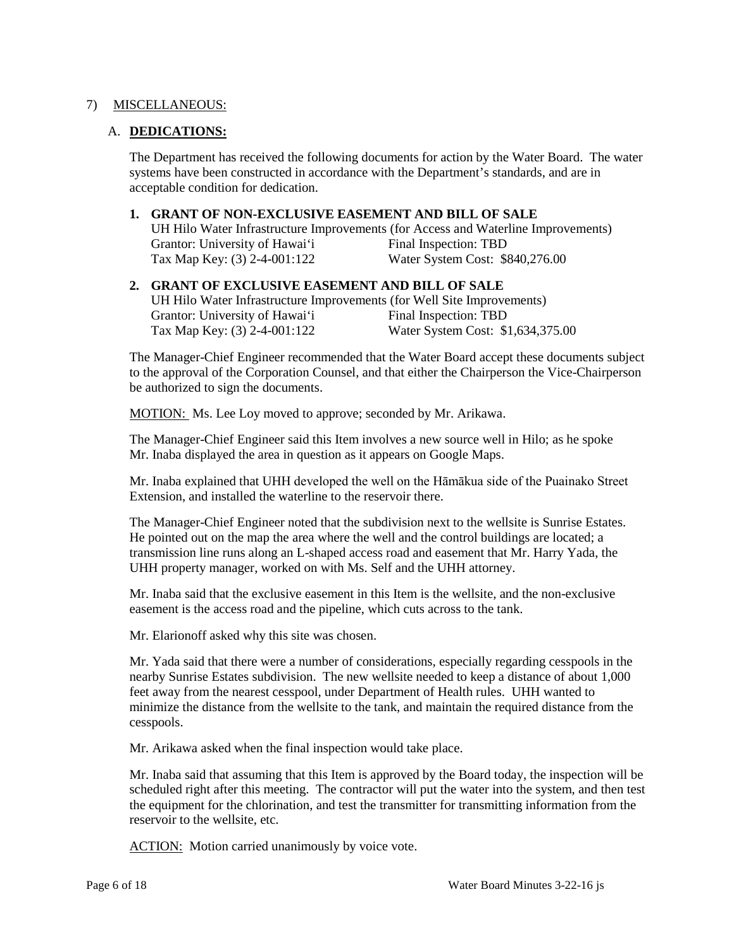## 7) MISCELLANEOUS:

## A. **DEDICATIONS:**

 The Department has received the following documents for action by the Water Board. The water systems have been constructed in accordance with the Department's standards, and are in acceptable condition for dedication.

## **1. GRANT OF NON-EXCLUSIVE EASEMENT AND BILL OF SALE**

Grantor: University of Hawai'i Final Inspection: TBD UH Hilo Water Infrastructure Improvements (for Access and Waterline Improvements) Tax Map Key: (3) 2-4-001:122 Water System Cost: \$840,276.00

#### Grantor: University of Hawai'i Final Inspection: TBD **2. GRANT OF EXCLUSIVE EASEMENT AND BILL OF SALE**  UH Hilo Water Infrastructure Improvements (for Well Site Improvements) Tax Map Key: (3) 2-4-001:122 Water System Cost: \$1,634,375.00

The Manager-Chief Engineer recommended that the Water Board accept these documents subject to the approval of the Corporation Counsel, and that either the Chairperson the Vice-Chairperson be authorized to sign the documents.

MOTION: Ms. Lee Loy moved to approve; seconded by Mr. Arikawa.

The Manager-Chief Engineer said this Item involves a new source well in Hilo; as he spoke Mr. Inaba displayed the area in question as it appears on Google Maps.

 Extension, and installed the waterline to the reservoir there. Mr. Inaba explained that UHH developed the well on the Hāmākua side of the Puainako Street

 The Manager-Chief Engineer noted that the subdivision next to the wellsite is Sunrise Estates. He pointed out on the map the area where the well and the control buildings are located; a transmission line runs along an L-shaped access road and easement that Mr. Harry Yada, the UHH property manager, worked on with Ms. Self and the UHH attorney.

 Mr. Inaba said that the exclusive easement in this Item is the wellsite, and the non-exclusive easement is the access road and the pipeline, which cuts across to the tank.

Mr. Elarionoff asked why this site was chosen.

 nearby Sunrise Estates subdivision. The new wellsite needed to keep a distance of about 1,000 Mr. Yada said that there were a number of considerations, especially regarding cesspools in the feet away from the nearest cesspool, under Department of Health rules. UHH wanted to minimize the distance from the wellsite to the tank, and maintain the required distance from the cesspools.

Mr. Arikawa asked when the final inspection would take place.

 the equipment for the chlorination, and test the transmitter for transmitting information from the reservoir to the wellsite, etc. Mr. Inaba said that assuming that this Item is approved by the Board today, the inspection will be scheduled right after this meeting. The contractor will put the water into the system, and then test

ACTION: Motion carried unanimously by voice vote.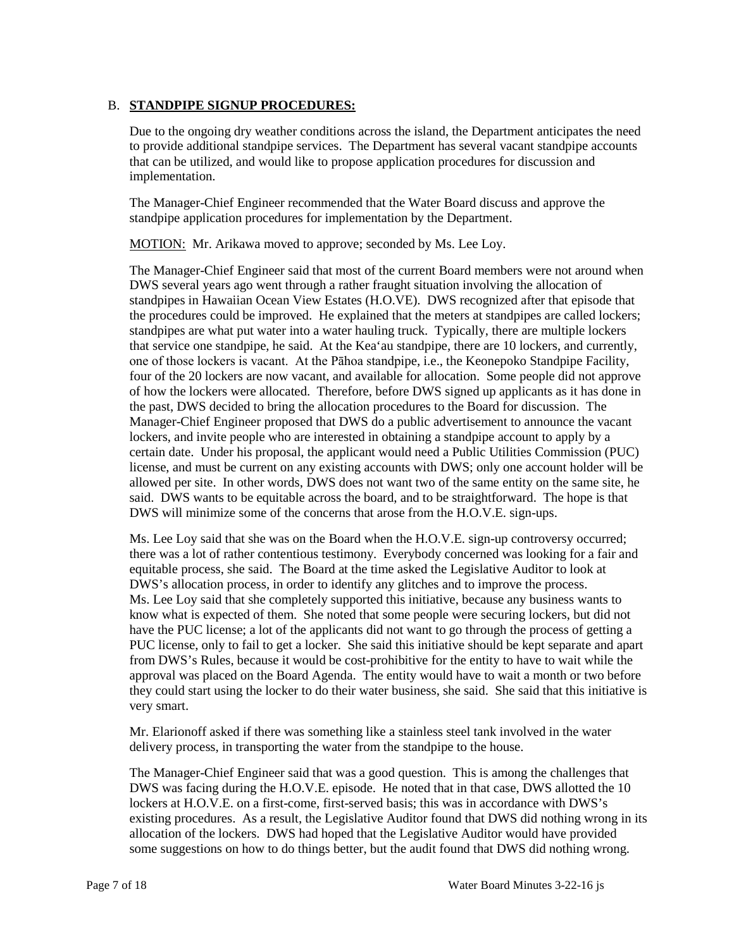## B. **STANDPIPE SIGNUP PROCEDURES:**

 to provide additional standpipe services. The Department has several vacant standpipe accounts Due to the ongoing dry weather conditions across the island, the Department anticipates the need that can be utilized, and would like to propose application procedures for discussion and implementation.

The Manager-Chief Engineer recommended that the Water Board discuss and approve the standpipe application procedures for implementation by the Department.

MOTION: Mr. Arikawa moved to approve; seconded by Ms. Lee Loy.

 The Manager-Chief Engineer said that most of the current Board members were not around when DWS several years ago went through a rather fraught situation involving the allocation of the procedures could be improved. He explained that the meters at standpipes are called lockers; one of those lockers is vacant. At the Pāhoa standpipe, i.e., the Keonepoko Standpipe Facility, four of the 20 lockers are now vacant, and available for allocation. Some people did not approve Manager-Chief Engineer proposed that DWS do a public advertisement to announce the vacant lockers, and invite people who are interested in obtaining a standpipe account to apply by a allowed per site. In other words, DWS does not want two of the same entity on the same site, he said. DWS wants to be equitable across the board, and to be straightforward. The hope is that DWS will minimize some of the concerns that arose from the H.O.V.E. sign-ups. standpipes in Hawaiian Ocean View Estates (H.O.VE). DWS recognized after that episode that standpipes are what put water into a water hauling truck. Typically, there are multiple lockers that service one standpipe, he said. At the Kea'au standpipe, there are 10 lockers, and currently, of how the lockers were allocated. Therefore, before DWS signed up applicants as it has done in the past, DWS decided to bring the allocation procedures to the Board for discussion. The certain date. Under his proposal, the applicant would need a Public Utilities Commission (PUC) license, and must be current on any existing accounts with DWS; only one account holder will be

 there was a lot of rather contentious testimony. Everybody concerned was looking for a fair and equitable process, she said. The Board at the time asked the Legislative Auditor to look at Ms. Lee Loy said that she completely supported this initiative, because any business wants to have the PUC license; a lot of the applicants did not want to go through the process of getting a PUC license, only to fail to get a locker. She said this initiative should be kept separate and apart Ms. Lee Loy said that she was on the Board when the H.O.V.E. sign-up controversy occurred; DWS's allocation process, in order to identify any glitches and to improve the process. know what is expected of them. She noted that some people were securing lockers, but did not from DWS's Rules, because it would be cost-prohibitive for the entity to have to wait while the approval was placed on the Board Agenda. The entity would have to wait a month or two before they could start using the locker to do their water business, she said. She said that this initiative is very smart.

 Mr. Elarionoff asked if there was something like a stainless steel tank involved in the water delivery process, in transporting the water from the standpipe to the house.

 DWS was facing during the H.O.V.E. episode. He noted that in that case, DWS allotted the 10 allocation of the lockers. DWS had hoped that the Legislative Auditor would have provided some suggestions on how to do things better, but the audit found that DWS did nothing wrong. The Manager-Chief Engineer said that was a good question. This is among the challenges that lockers at H.O.V.E. on a first-come, first-served basis; this was in accordance with DWS's existing procedures. As a result, the Legislative Auditor found that DWS did nothing wrong in its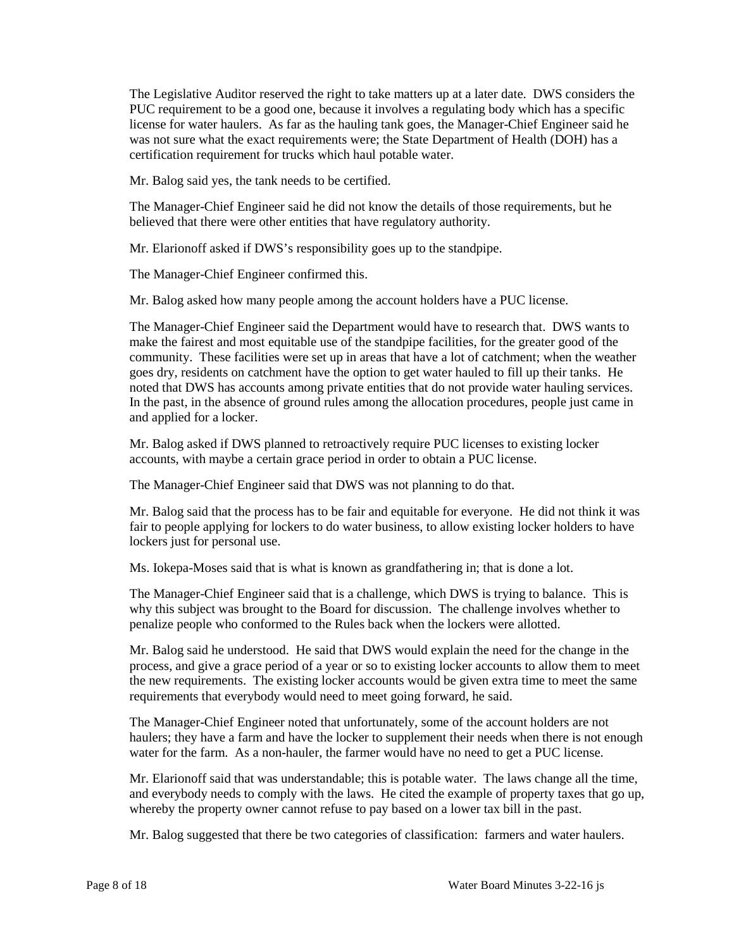PUC requirement to be a good one, because it involves a regulating body which has a specific license for water haulers. As far as the hauling tank goes, the Manager-Chief Engineer said he The Legislative Auditor reserved the right to take matters up at a later date. DWS considers the was not sure what the exact requirements were; the State Department of Health (DOH) has a certification requirement for trucks which haul potable water.

Mr. Balog said yes, the tank needs to be certified.

The Manager-Chief Engineer said he did not know the details of those requirements, but he believed that there were other entities that have regulatory authority.

Mr. Elarionoff asked if DWS's responsibility goes up to the standpipe.

The Manager-Chief Engineer confirmed this.

Mr. Balog asked how many people among the account holders have a PUC license.

 make the fairest and most equitable use of the standpipe facilities, for the greater good of the noted that DWS has accounts among private entities that do not provide water hauling services. The Manager-Chief Engineer said the Department would have to research that. DWS wants to community. These facilities were set up in areas that have a lot of catchment; when the weather goes dry, residents on catchment have the option to get water hauled to fill up their tanks. He In the past, in the absence of ground rules among the allocation procedures, people just came in and applied for a locker.

Mr. Balog asked if DWS planned to retroactively require PUC licenses to existing locker accounts, with maybe a certain grace period in order to obtain a PUC license.

The Manager-Chief Engineer said that DWS was not planning to do that.

 Mr. Balog said that the process has to be fair and equitable for everyone. He did not think it was fair to people applying for lockers to do water business, to allow existing locker holders to have lockers just for personal use.

Ms. Iokepa-Moses said that is what is known as grandfathering in; that is done a lot.

 The Manager-Chief Engineer said that is a challenge, which DWS is trying to balance. This is penalize people who conformed to the Rules back when the lockers were allotted. why this subject was brought to the Board for discussion. The challenge involves whether to

 penalize people who conformed to the Rules back when the lockers were allotted. Mr. Balog said he understood. He said that DWS would explain the need for the change in the process, and give a grace period of a year or so to existing locker accounts to allow them to meet the new requirements. The existing locker accounts would be given extra time to meet the same requirements that everybody would need to meet going forward, he said.

 The Manager-Chief Engineer noted that unfortunately, some of the account holders are not water for the farm. As a non-hauler, the farmer would have no need to get a PUC license. haulers; they have a farm and have the locker to supplement their needs when there is not enough

 whereby the property owner cannot refuse to pay based on a lower tax bill in the past. Mr. Elarionoff said that was understandable; this is potable water. The laws change all the time, and everybody needs to comply with the laws. He cited the example of property taxes that go up,

Mr. Balog suggested that there be two categories of classification: farmers and water haulers.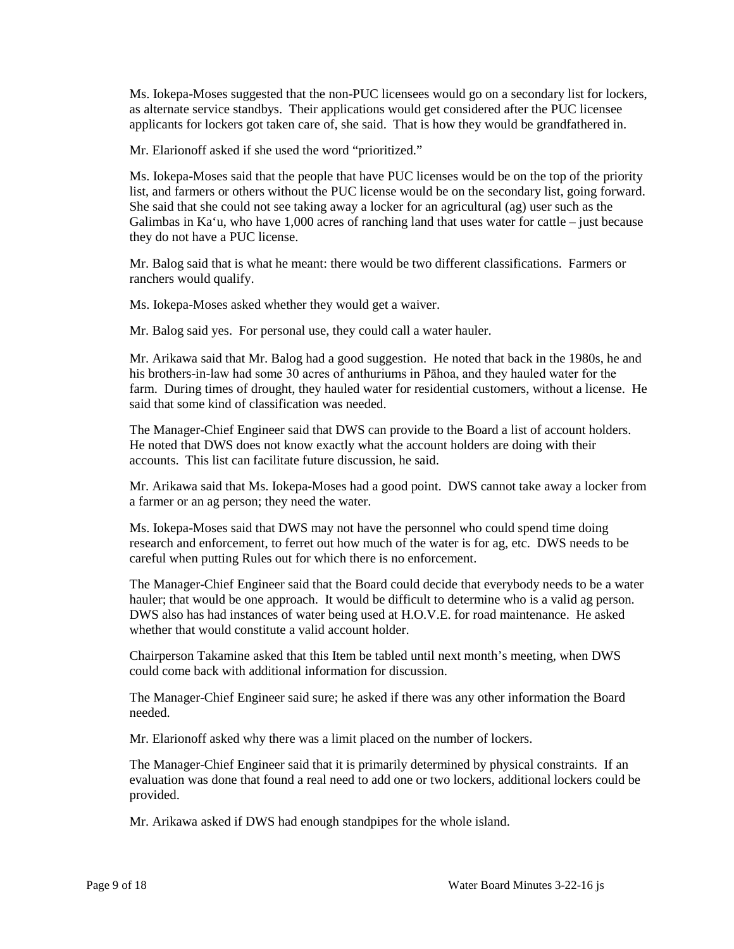as alternate service standbys. Their applications would get considered after the PUC licensee applicants for lockers got taken care of, she said. That is how they would be grandfathered in. Ms. Iokepa-Moses suggested that the non-PUC licensees would go on a secondary list for lockers,

Mr. Elarionoff asked if she used the word "prioritized."

 She said that she could not see taking away a locker for an agricultural (ag) user such as the Ms. Iokepa-Moses said that the people that have PUC licenses would be on the top of the priority list, and farmers or others without the PUC license would be on the secondary list, going forward. Galimbas in Ka'u, who have 1,000 acres of ranching land that uses water for cattle – just because they do not have a PUC license.

 Mr. Balog said that is what he meant: there would be two different classifications. Farmers or ranchers would qualify.

Ms. Iokepa-Moses asked whether they would get a waiver.

Mr. Balog said yes. For personal use, they could call a water hauler.

 farm. During times of drought, they hauled water for residential customers, without a license. He Mr. Arikawa said that Mr. Balog had a good suggestion. He noted that back in the 1980s, he and his brothers-in-law had some 30 acres of anthuriums in Pāhoa, and they hauled water for the said that some kind of classification was needed.

The Manager-Chief Engineer said that DWS can provide to the Board a list of account holders. He noted that DWS does not know exactly what the account holders are doing with their accounts. This list can facilitate future discussion, he said.

 a farmer or an ag person; they need the water. Mr. Arikawa said that Ms. Iokepa-Moses had a good point. DWS cannot take away a locker from

 careful when putting Rules out for which there is no enforcement. Ms. Iokepa-Moses said that DWS may not have the personnel who could spend time doing research and enforcement, to ferret out how much of the water is for ag, etc. DWS needs to be

The Manager-Chief Engineer said that the Board could decide that everybody needs to be a water hauler; that would be one approach. It would be difficult to determine who is a valid ag person. DWS also has had instances of water being used at H.O.V.E. for road maintenance. He asked whether that would constitute a valid account holder.

Chairperson Takamine asked that this Item be tabled until next month's meeting, when DWS could come back with additional information for discussion.

 The Manager-Chief Engineer said sure; he asked if there was any other information the Board needed.

Mr. Elarionoff asked why there was a limit placed on the number of lockers.

The Manager-Chief Engineer said that it is primarily determined by physical constraints. If an evaluation was done that found a real need to add one or two lockers, additional lockers could be provided.

Mr. Arikawa asked if DWS had enough standpipes for the whole island.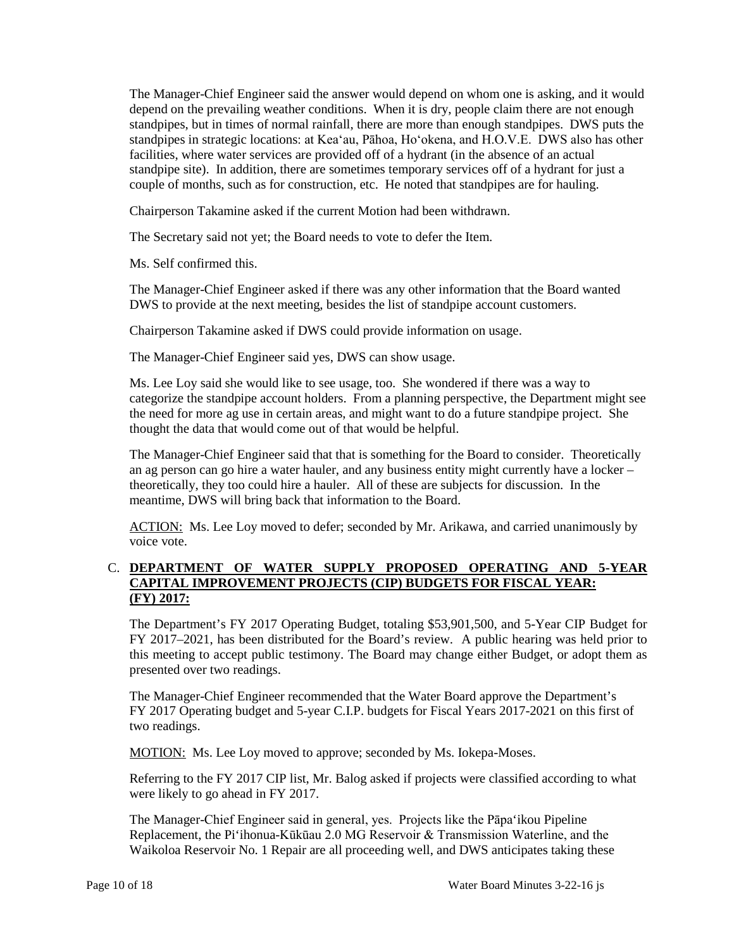standpipes, but in times of normal rainfall, there are more than enough standpipes. DWS puts the standpipes in strategic locations: at Kea'au, Pāhoa, Ho'okena, and H.O.V.E. DWS also has other facilities, where water services are provided off of a hydrant (in the absence of an actual couple of months, such as for construction, etc. He noted that standpipes are for hauling. The Manager-Chief Engineer said the answer would depend on whom one is asking, and it would depend on the prevailing weather conditions. When it is dry, people claim there are not enough standpipe site). In addition, there are sometimes temporary services off of a hydrant for just a

Chairperson Takamine asked if the current Motion had been withdrawn.

The Secretary said not yet; the Board needs to vote to defer the Item.

Ms. Self confirmed this.

The Manager-Chief Engineer asked if there was any other information that the Board wanted DWS to provide at the next meeting, besides the list of standpipe account customers.

Chairperson Takamine asked if DWS could provide information on usage.

The Manager-Chief Engineer said yes, DWS can show usage.

 Ms. Lee Loy said she would like to see usage, too. She wondered if there was a way to thought the data that would come out of that would be helpful. categorize the standpipe account holders. From a planning perspective, the Department might see the need for more ag use in certain areas, and might want to do a future standpipe project. She

 theoretically, they too could hire a hauler. All of these are subjects for discussion. In the The Manager-Chief Engineer said that that is something for the Board to consider. Theoretically an ag person can go hire a water hauler, and any business entity might currently have a locker – meantime, DWS will bring back that information to the Board.

ACTION: Ms. Lee Loy moved to defer; seconded by Mr. Arikawa, and carried unanimously by voice vote.

## C. **DEPARTMENT OF WATER SUPPLY PROPOSED OPERATING AND 5-YEAR CAPITAL IMPROVEMENT PROJECTS (CIP) BUDGETS FOR FISCAL YEAR: (FY) 2017:**

 this meeting to accept public testimony. The Board may change either Budget, or adopt them as The Department's FY 2017 Operating Budget, totaling \$53,901,500, and 5-Year CIP Budget for FY 2017–2021, has been distributed for the Board's review. A public hearing was held prior to presented over two readings.

The Manager-Chief Engineer recommended that the Water Board approve the Department's FY 2017 Operating budget and 5-year C.I.P. budgets for Fiscal Years 2017-2021 on this first of two readings.

MOTION: Ms. Lee Loy moved to approve; seconded by Ms. Iokepa-Moses.

Referring to the FY 2017 CIP list, Mr. Balog asked if projects were classified according to what were likely to go ahead in FY 2017.

The Manager-Chief Engineer said in general, yes. Projects like the Pāpa'ikou Pipeline Replacement, the Pi'ihonua-Kūkūau 2.0 MG Reservoir & Transmission Waterline, and the Waikoloa Reservoir No. 1 Repair are all proceeding well, and DWS anticipates taking these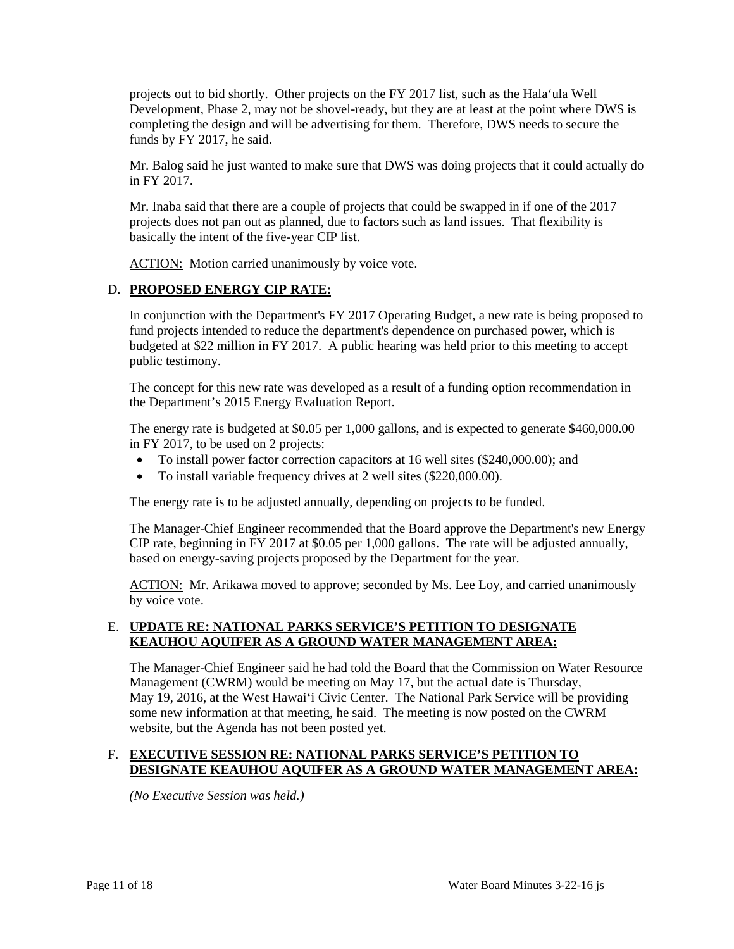completing the design and will be advertising for them. Therefore, DWS needs to secure the projects out to bid shortly. Other projects on the FY 2017 list, such as the Hala'ula Well Development, Phase 2, may not be shovel-ready, but they are at least at the point where DWS is funds by FY 2017, he said.

 Mr. Balog said he just wanted to make sure that DWS was doing projects that it could actually do in FY 2017.

 projects does not pan out as planned, due to factors such as land issues. That flexibility is basically the intent of the five-year CIP list. Mr. Inaba said that there are a couple of projects that could be swapped in if one of the 2017

ACTION: Motion carried unanimously by voice vote.

# D. **PROPOSED ENERGY CIP RATE:**

In conjunction with the Department's FY 2017 Operating Budget, a new rate is being proposed to fund projects intended to reduce the department's dependence on purchased power, which is budgeted at \$22 million in FY 2017. A public hearing was held prior to this meeting to accept public testimony.

The concept for this new rate was developed as a result of a funding option recommendation in the Department's 2015 Energy Evaluation Report.

The energy rate is budgeted at \$0.05 per 1,000 gallons, and is expected to generate \$460,000.00 in FY 2017, to be used on 2 projects:

- • To install power factor correction capacitors at 16 well sites (\$240,000.00); and
- To install variable frequency drives at 2 well sites (\$220,000.00).

The energy rate is to be adjusted annually, depending on projects to be funded.

The Manager-Chief Engineer recommended that the Board approve the Department's new Energy CIP rate, beginning in FY 2017 at \$0.05 per 1,000 gallons. The rate will be adjusted annually, based on energy-saving projects proposed by the Department for the year.

ACTION: Mr. Arikawa moved to approve; seconded by Ms. Lee Loy, and carried unanimously by voice vote.

## E. **UPDATE RE: NATIONAL PARKS SERVICE'S PETITION TO DESIGNATE KEAUHOU AQUIFER AS A GROUND WATER MANAGEMENT AREA:**

 May 19, 2016, at the West Hawai'i Civic Center. The National Park Service will be providing The Manager-Chief Engineer said he had told the Board that the Commission on Water Resource Management (CWRM) would be meeting on May 17, but the actual date is Thursday, some new information at that meeting, he said. The meeting is now posted on the CWRM website, but the Agenda has not been posted yet.

## F. **EXECUTIVE SESSION RE: NATIONAL PARKS SERVICE'S PETITION TO DESIGNATE KEAUHOU AQUIFER AS A GROUND WATER MANAGEMENT AREA:**

*(No Executive Session was held.)*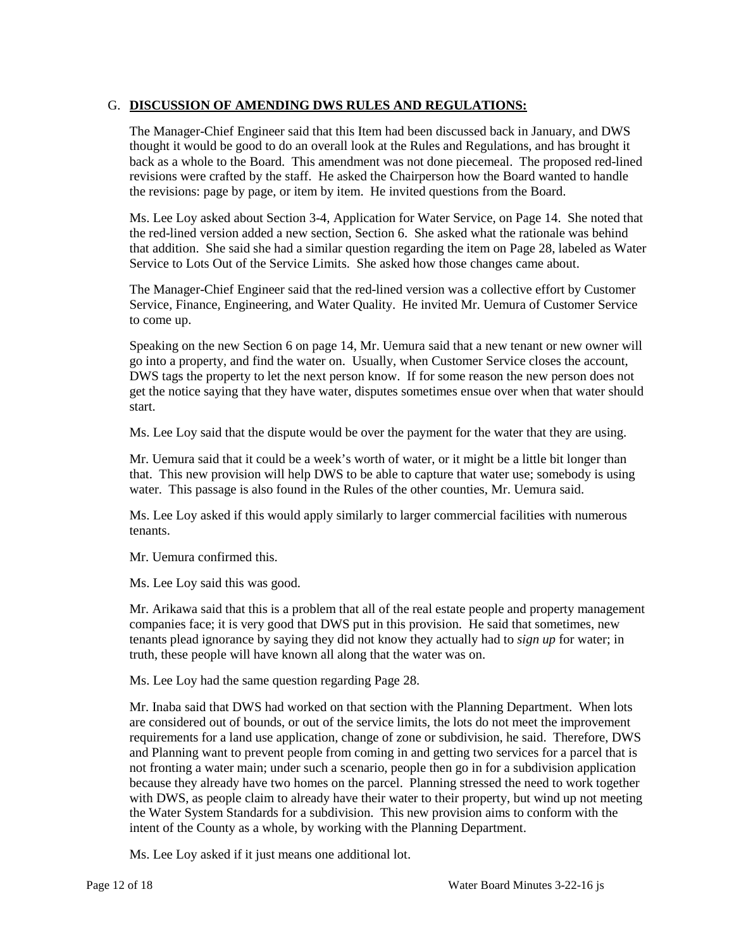# G. **DISCUSSION OF AMENDING DWS RULES AND REGULATIONS:**

The Manager-Chief Engineer said that this Item had been discussed back in January, and DWS thought it would be good to do an overall look at the Rules and Regulations, and has brought it back as a whole to the Board. This amendment was not done piecemeal. The proposed red-lined revisions were crafted by the staff. He asked the Chairperson how the Board wanted to handle the revisions: page by page, or item by item. He invited questions from the Board.

 Ms. Lee Loy asked about Section 3-4, Application for Water Service, on Page 14. She noted that the red-lined version added a new section, Section 6. She asked what the rationale was behind that addition. She said she had a similar question regarding the item on Page 28, labeled as Water Service to Lots Out of the Service Limits. She asked how those changes came about.

The Manager-Chief Engineer said that the red-lined version was a collective effort by Customer Service, Finance, Engineering, and Water Quality. He invited Mr. Uemura of Customer Service to come up.

 Speaking on the new Section 6 on page 14, Mr. Uemura said that a new tenant or new owner will go into a property, and find the water on. Usually, when Customer Service closes the account, DWS tags the property to let the next person know. If for some reason the new person does not get the notice saying that they have water, disputes sometimes ensue over when that water should start.

Ms. Lee Loy said that the dispute would be over the payment for the water that they are using.

 Mr. Uemura said that it could be a week's worth of water, or it might be a little bit longer than that. This new provision will help DWS to be able to capture that water use; somebody is using water. This passage is also found in the Rules of the other counties, Mr. Uemura said.

Ms. Lee Loy asked if this would apply similarly to larger commercial facilities with numerous tenants.

Mr. Uemura confirmed this.

Ms. Lee Loy said this was good.

 Mr. Arikawa said that this is a problem that all of the real estate people and property management companies face; it is very good that DWS put in this provision. He said that sometimes, new tenants plead ignorance by saying they did not know they actually had to *sign up* for water; in truth, these people will have known all along that the water was on.

Ms. Lee Loy had the same question regarding Page 28.

 requirements for a land use application, change of zone or subdivision, he said. Therefore, DWS and Planning want to prevent people from coming in and getting two services for a parcel that is not fronting a water main; under such a scenario, people then go in for a subdivision application Mr. Inaba said that DWS had worked on that section with the Planning Department. When lots are considered out of bounds, or out of the service limits, the lots do not meet the improvement because they already have two homes on the parcel. Planning stressed the need to work together with DWS, as people claim to already have their water to their property, but wind up not meeting the Water System Standards for a subdivision. This new provision aims to conform with the intent of the County as a whole, by working with the Planning Department.

Ms. Lee Loy asked if it just means one additional lot.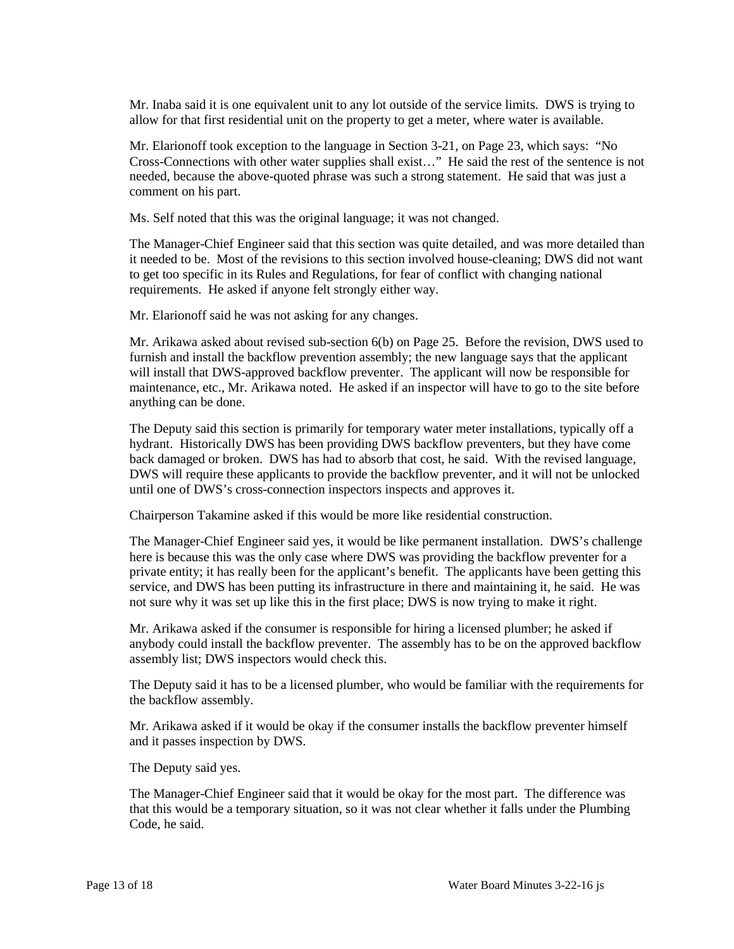Mr. Inaba said it is one equivalent unit to any lot outside of the service limits. DWS is trying to allow for that first residential unit on the property to get a meter, where water is available.

 comment on his part. Mr. Elarionoff took exception to the language in Section 3-21, on Page 23, which says: "No Cross-Connections with other water supplies shall exist…" He said the rest of the sentence is not needed, because the above-quoted phrase was such a strong statement. He said that was just a

Ms. Self noted that this was the original language; it was not changed.

 requirements. He asked if anyone felt strongly either way. The Manager-Chief Engineer said that this section was quite detailed, and was more detailed than it needed to be. Most of the revisions to this section involved house-cleaning; DWS did not want to get too specific in its Rules and Regulations, for fear of conflict with changing national

Mr. Elarionoff said he was not asking for any changes.

 Mr. Arikawa asked about revised sub-section 6(b) on Page 25. Before the revision, DWS used to furnish and install the backflow prevention assembly; the new language says that the applicant will install that DWS-approved backflow preventer. The applicant will now be responsible for maintenance, etc., Mr. Arikawa noted. He asked if an inspector will have to go to the site before anything can be done.

 hydrant. Historically DWS has been providing DWS backflow preventers, but they have come The Deputy said this section is primarily for temporary water meter installations, typically off a back damaged or broken. DWS has had to absorb that cost, he said. With the revised language, DWS will require these applicants to provide the backflow preventer, and it will not be unlocked until one of DWS's cross-connection inspectors inspects and approves it.

Chairperson Takamine asked if this would be more like residential construction.

 The Manager-Chief Engineer said yes, it would be like permanent installation. DWS's challenge here is because this was the only case where DWS was providing the backflow preventer for a private entity; it has really been for the applicant's benefit. The applicants have been getting this not sure why it was set up like this in the first place; DWS is now trying to make it right. service, and DWS has been putting its infrastructure in there and maintaining it, he said. He was

 Mr. Arikawa asked if the consumer is responsible for hiring a licensed plumber; he asked if anybody could install the backflow preventer. The assembly has to be on the approved backflow assembly list; DWS inspectors would check this.

 The Deputy said it has to be a licensed plumber, who would be familiar with the requirements for the backflow assembly.

Mr. Arikawa asked if it would be okay if the consumer installs the backflow preventer himself and it passes inspection by DWS.

The Deputy said yes.

The Manager-Chief Engineer said that it would be okay for the most part. The difference was that this would be a temporary situation, so it was not clear whether it falls under the Plumbing Code, he said.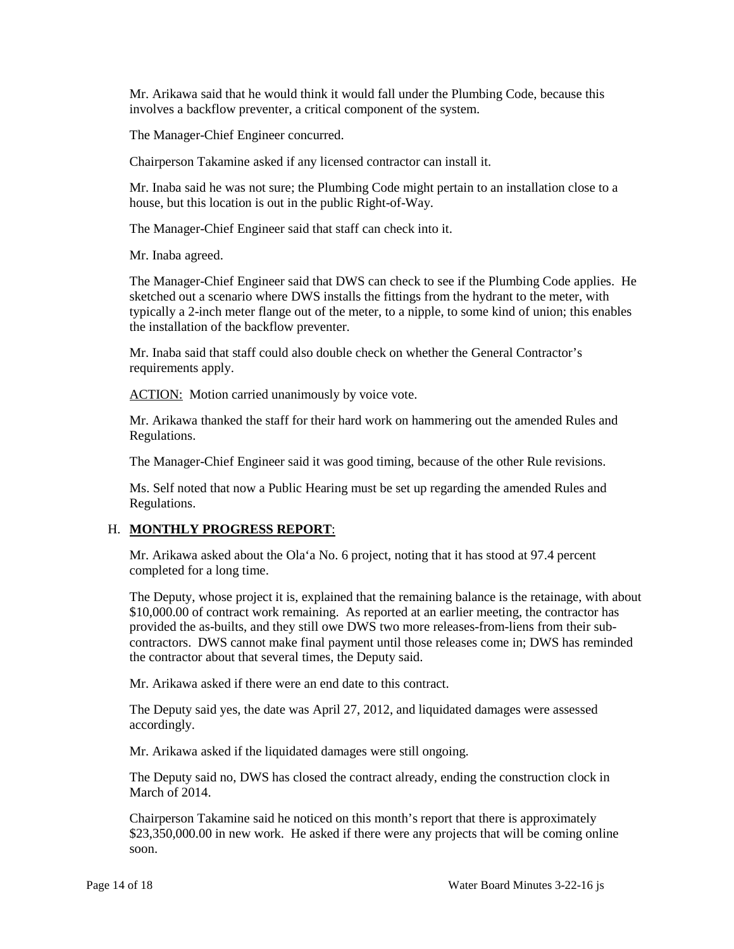involves a backflow preventer, a critical component of the system. Mr. Arikawa said that he would think it would fall under the Plumbing Code, because this

The Manager-Chief Engineer concurred.

Chairperson Takamine asked if any licensed contractor can install it.

Mr. Inaba said he was not sure; the Plumbing Code might pertain to an installation close to a house, but this location is out in the public Right-of-Way.

The Manager-Chief Engineer said that staff can check into it.

Mr. Inaba agreed.

The Manager-Chief Engineer said that DWS can check to see if the Plumbing Code applies. He sketched out a scenario where DWS installs the fittings from the hydrant to the meter, with typically a 2-inch meter flange out of the meter, to a nipple, to some kind of union; this enables the installation of the backflow preventer.

 Mr. Inaba said that staff could also double check on whether the General Contractor's requirements apply.

ACTION: Motion carried unanimously by voice vote.

Mr. Arikawa thanked the staff for their hard work on hammering out the amended Rules and Regulations.

The Manager-Chief Engineer said it was good timing, because of the other Rule revisions.

 Ms. Self noted that now a Public Hearing must be set up regarding the amended Rules and Regulations.

## H. **MONTHLY PROGRESS REPORT**:

 Mr. Arikawa asked about the Ola'a No. 6 project, noting that it has stood at 97.4 percent completed for a long time.

 The Deputy, whose project it is, explained that the remaining balance is the retainage, with about contractors. DWS cannot make final payment until those releases come in; DWS has reminded \$10,000.00 of contract work remaining. As reported at an earlier meeting, the contractor has provided the as-builts, and they still owe DWS two more releases-from-liens from their subthe contractor about that several times, the Deputy said.

Mr. Arikawa asked if there were an end date to this contract.

 The Deputy said yes, the date was April 27, 2012, and liquidated damages were assessed accordingly.

Mr. Arikawa asked if the liquidated damages were still ongoing.

The Deputy said no, DWS has closed the contract already, ending the construction clock in March of 2014.

 Chairperson Takamine said he noticed on this month's report that there is approximately \$23,350,000.00 in new work. He asked if there were any projects that will be coming online soon.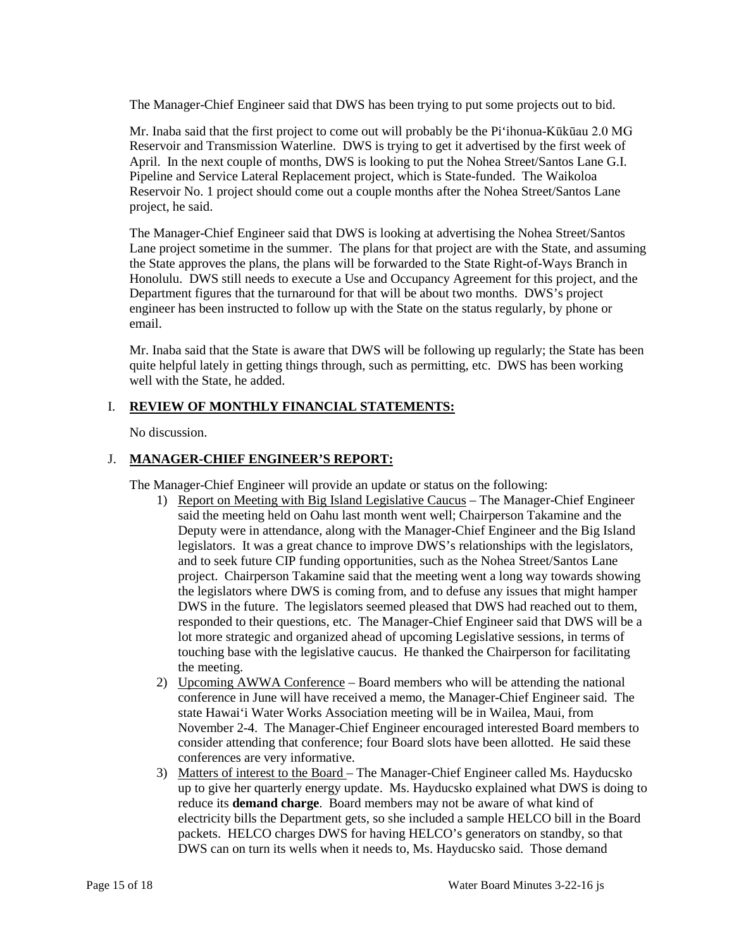The Manager-Chief Engineer said that DWS has been trying to put some projects out to bid.

Mr. Inaba said that the first project to come out will probably be the Pi'ihonua-Kūkūau 2.0 MG Reservoir and Transmission Waterline. DWS is trying to get it advertised by the first week of April. In the next couple of months, DWS is looking to put the Nohea Street/Santos Lane G.I. Pipeline and Service Lateral Replacement project, which is State-funded. The Waikoloa Reservoir No. 1 project should come out a couple months after the Nohea Street/Santos Lane project, he said.

 The Manager-Chief Engineer said that DWS is looking at advertising the Nohea Street/Santos Lane project sometime in the summer. The plans for that project are with the State, and assuming Honolulu. DWS still needs to execute a Use and Occupancy Agreement for this project, and the Department figures that the turnaround for that will be about two months. DWS's project the State approves the plans, the plans will be forwarded to the State Right-of-Ways Branch in engineer has been instructed to follow up with the State on the status regularly, by phone or email.

Mr. Inaba said that the State is aware that DWS will be following up regularly; the State has been quite helpful lately in getting things through, such as permitting, etc. DWS has been working well with the State, he added.

## I. **REVIEW OF MONTHLY FINANCIAL STATEMENTS:**

No discussion.

## J. **MANAGER-CHIEF ENGINEER'S REPORT:**

The Manager-Chief Engineer will provide an update or status on the following:

- legislators. It was a great chance to improve DWS's relationships with the legislators, DWS in the future. The legislators seemed pleased that DWS had reached out to them, responded to their questions, etc. The Manager-Chief Engineer said that DWS will be a 1) Report on Meeting with Big Island Legislative Caucus – The Manager-Chief Engineer said the meeting held on Oahu last month went well; Chairperson Takamine and the Deputy were in attendance, along with the Manager-Chief Engineer and the Big Island and to seek future CIP funding opportunities, such as the Nohea Street/Santos Lane project. Chairperson Takamine said that the meeting went a long way towards showing the legislators where DWS is coming from, and to defuse any issues that might hamper lot more strategic and organized ahead of upcoming Legislative sessions, in terms of touching base with the legislative caucus. He thanked the Chairperson for facilitating the meeting.
- conference in June will have received a memo, the Manager-Chief Engineer said. The state Hawai'i Water Works Association meeting will be in Wailea, Maui, from 2) Upcoming AWWA Conference – Board members who will be attending the national November 2-4. The Manager-Chief Engineer encouraged interested Board members to consider attending that conference; four Board slots have been allotted. He said these conferences are very informative.
- 3) Matters of interest to the Board The Manager-Chief Engineer called Ms. Hayducsko up to give her quarterly energy update. Ms. Hayducsko explained what DWS is doing to reduce its **demand charge**. Board members may not be aware of what kind of electricity bills the Department gets, so she included a sample HELCO bill in the Board packets. HELCO charges DWS for having HELCO's generators on standby, so that DWS can on turn its wells when it needs to, Ms. Hayducsko said. Those demand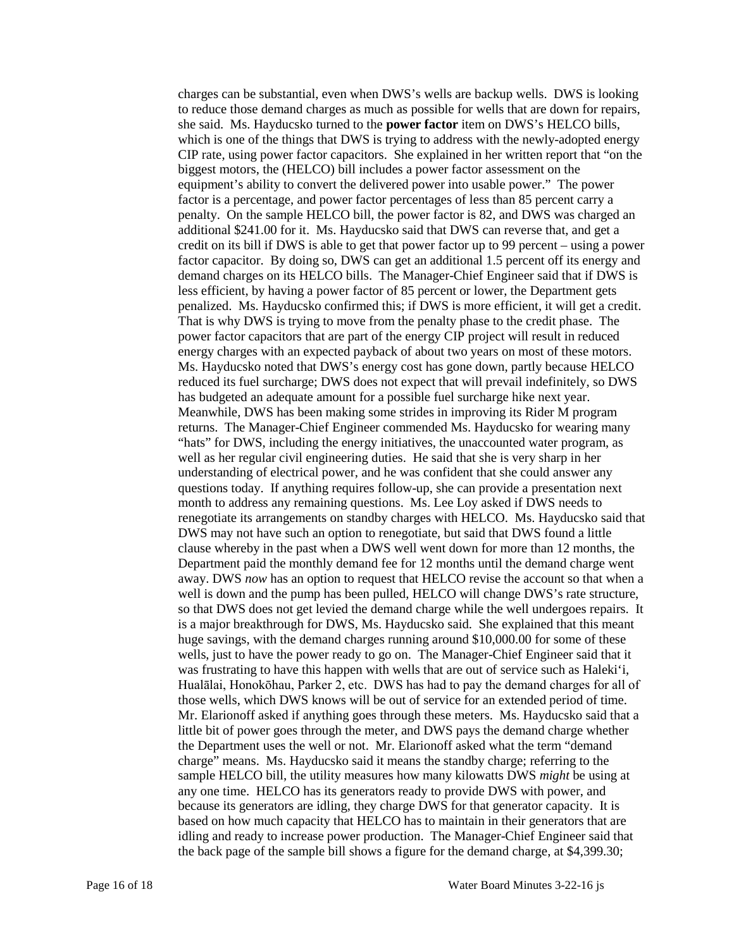she said. Ms. Hayducsko turned to the **power factor** item on DWS's HELCO bills, which is one of the things that DWS is trying to address with the newly-adopted energy biggest motors, the (HELCO) bill includes a power factor assessment on the equipment's ability to convert the delivered power into usable power." The power credit on its bill if DWS is able to get that power factor up to 99 percent – using a power demand charges on its HELCO bills. The Manager-Chief Engineer said that if DWS is less efficient, by having a power factor of 85 percent or lower, the Department gets penalized. Ms. Hayducsko confirmed this; if DWS is more efficient, it will get a credit. That is why DWS is trying to move from the penalty phase to the credit phase. The power factor capacitors that are part of the energy CIP project will result in reduced energy charges with an expected payback of about two years on most of these motors. reduced its fuel surcharge; DWS does not expect that will prevail indefinitely, so DWS has budgeted an adequate amount for a possible fuel surcharge hike next year. well as her regular civil engineering duties. He said that she is very sharp in her understanding of electrical power, and he was confident that she could answer any clause whereby in the past when a DWS well went down for more than 12 months, the Department paid the monthly demand fee for 12 months until the demand charge went away. DWS *now* has an option to request that HELCO revise the account so that when a is a major breakthrough for DWS, Ms. Hayducsko said. She explained that this meant huge savings, with the demand charges running around \$10,000.00 for some of these was frustrating to have this happen with wells that are out of service such as Haleki'i, Mr. Elarionoff asked if anything goes through these meters. Ms. Hayducsko said that a charge" means. Ms. Hayducsko said it means the standby charge; referring to the idling and ready to increase power production. The Manager-Chief Engineer said that the back page of the sample bill shows a figure for the demand charge, at \$4,399.30; charges can be substantial, even when DWS's wells are backup wells. DWS is looking to reduce those demand charges as much as possible for wells that are down for repairs, CIP rate, using power factor capacitors. She explained in her written report that "on the factor is a percentage, and power factor percentages of less than 85 percent carry a penalty. On the sample HELCO bill, the power factor is 82, and DWS was charged an additional \$241.00 for it. Ms. Hayducsko said that DWS can reverse that, and get a factor capacitor. By doing so, DWS can get an additional 1.5 percent off its energy and Ms. Hayducsko noted that DWS's energy cost has gone down, partly because HELCO Meanwhile, DWS has been making some strides in improving its Rider M program. returns. The Manager-Chief Engineer commended Ms. Hayducsko for wearing many "hats" for DWS, including the energy initiatives, the unaccounted water program, as questions today. If anything requires follow-up, she can provide a presentation next month to address any remaining questions. Ms. Lee Loy asked if DWS needs to renegotiate its arrangements on standby charges with HELCO. Ms. Hayducsko said that DWS may not have such an option to renegotiate, but said that DWS found a little well is down and the pump has been pulled, HELCO will change DWS's rate structure, so that DWS does not get levied the demand charge while the well undergoes repairs. It wells, just to have the power ready to go on. The Manager-Chief Engineer said that it Hualālai, Honokōhau, Parker 2, etc. DWS has had to pay the demand charges for all of those wells, which DWS knows will be out of service for an extended period of time. little bit of power goes through the meter, and DWS pays the demand charge whether the Department uses the well or not. Mr. Elarionoff asked what the term "demand sample HELCO bill, the utility measures how many kilowatts DWS *might* be using at any one time. HELCO has its generators ready to provide DWS with power, and because its generators are idling, they charge DWS for that generator capacity. It is based on how much capacity that HELCO has to maintain in their generators that are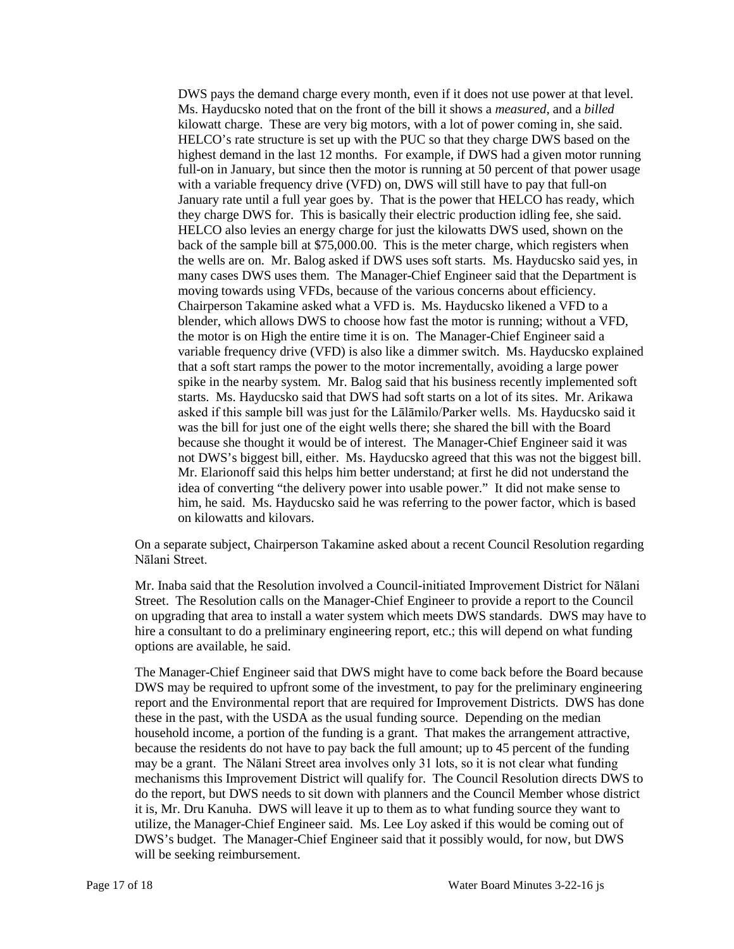kilowatt charge. These are very big motors, with a lot of power coming in, she said. highest demand in the last 12 months. For example, if DWS had a given motor running full-on in January, but since then the motor is running at 50 percent of that power usage HELCO also levies an energy charge for just the kilowatts DWS used, shown on the back of the sample bill at \$75,000.00. This is the meter charge, which registers when the wells are on. Mr. Balog asked if DWS uses soft starts. Ms. Hayducsko said yes, in many cases DWS uses them. The Manager-Chief Engineer said that the Department is moving towards using VFDs, because of the various concerns about efficiency. Chairperson Takamine asked what a VFD is. Ms. Hayducsko likened a VFD to a blender, which allows DWS to choose how fast the motor is running; without a VFD, the motor is on High the entire time it is on. The Manager-Chief Engineer said a variable frequency drive (VFD) is also like a dimmer switch. Ms. Hayducsko explained starts. Ms. Hayducsko said that DWS had soft starts on a lot of its sites. Mr. Arikawa asked if this sample bill was just for the Lālāmilo/Parker wells. Ms. Hayducsko said it was the bill for just one of the eight wells there; she shared the bill with the Board because she thought it would be of interest. The Manager-Chief Engineer said it was not DWS's biggest bill, either. Ms. Hayducsko agreed that this was not the biggest bill. DWS pays the demand charge every month, even if it does not use power at that level. Ms. Hayducsko noted that on the front of the bill it shows a *measured*, and a *billed*  HELCO's rate structure is set up with the PUC so that they charge DWS based on the with a variable frequency drive (VFD) on, DWS will still have to pay that full-on January rate until a full year goes by. That is the power that HELCO has ready, which they charge DWS for. This is basically their electric production idling fee, she said. that a soft start ramps the power to the motor incrementally, avoiding a large power spike in the nearby system. Mr. Balog said that his business recently implemented soft Mr. Elarionoff said this helps him better understand; at first he did not understand the idea of converting "the delivery power into usable power." It did not make sense to him, he said. Ms. Hayducsko said he was referring to the power factor, which is based on kilowatts and kilovars.

On a separate subject, Chairperson Takamine asked about a recent Council Resolution regarding Nālani Street.

 Mr. Inaba said that the Resolution involved a Council-initiated Improvement District for Nālani Street. The Resolution calls on the Manager-Chief Engineer to provide a report to the Council on upgrading that area to install a water system which meets DWS standards. DWS may have to hire a consultant to do a preliminary engineering report, etc.; this will depend on what funding options are available, he said.

 these in the past, with the USDA as the usual funding source. Depending on the median because the residents do not have to pay back the full amount; up to 45 percent of the funding utilize, the Manager-Chief Engineer said. Ms. Lee Loy asked if this would be coming out of The Manager-Chief Engineer said that DWS might have to come back before the Board because DWS may be required to upfront some of the investment, to pay for the preliminary engineering report and the Environmental report that are required for Improvement Districts. DWS has done household income, a portion of the funding is a grant. That makes the arrangement attractive, may be a grant. The Nālani Street area involves only 31 lots, so it is not clear what funding mechanisms this Improvement District will qualify for. The Council Resolution directs DWS to do the report, but DWS needs to sit down with planners and the Council Member whose district it is, Mr. Dru Kanuha. DWS will leave it up to them as to what funding source they want to DWS's budget. The Manager-Chief Engineer said that it possibly would, for now, but DWS will be seeking reimbursement.